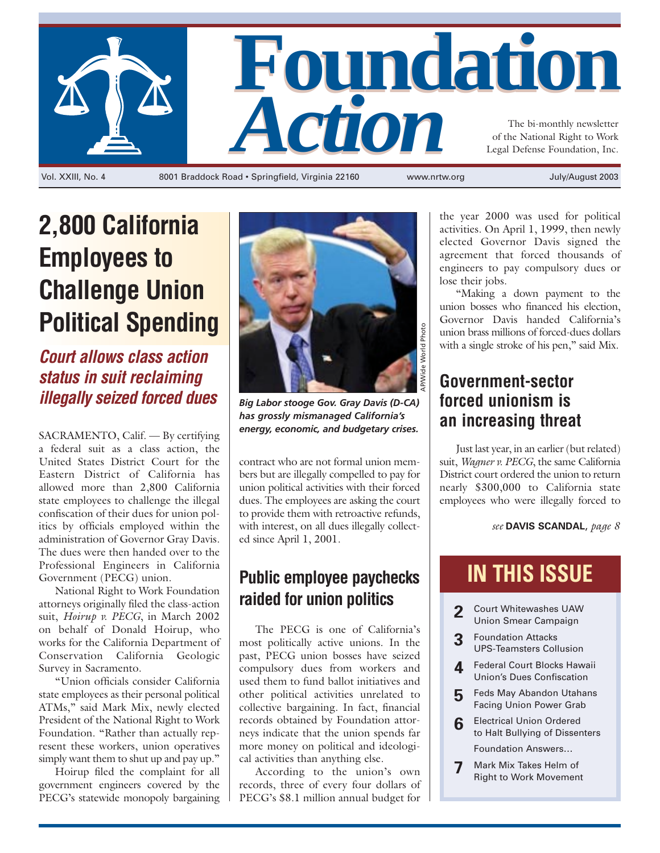

**2,800 California Employees to Challenge Union Political Spending**

*Court allows class action status in suit reclaiming illegally seized forced dues*

a federal suit as a class action, the United States District Court for the Eastern District of California has allowed more than 2,800 California state employees to challenge the illegal confiscation of their dues for union politics by officials employed within the administration of Governor Gray Davis. The dues were then handed over to the Professional Engineers in California Government (PECG) union.

National Right to Work Foundation attorneys originally filed the class-action suit, *Hoirup v. PECG*, in March 2002 on behalf of Donald Hoirup, who works for the California Department of Conservation California Geologic Survey in Sacramento.

"Union officials consider California state employees as their personal political ATMs," said Mark Mix, newly elected President of the National Right to Work Foundation. "Rather than actually represent these workers, union operatives simply want them to shut up and pay up."

Hoirup filed the complaint for all government engineers covered by the PECG's statewide monopoly bargaining



*Big Labor stooge Gov. Gray Davis (D-CA) has grossly mismanaged California's* SACRAMENTO, Calif. — By certifying **energy, economic, and budgetary crises.** 

contract who are not formal union members but are illegally compelled to pay for union political activities with their forced dues. The employees are asking the court to provide them with retroactive refunds, with interest, on all dues illegally collected since April 1, 2001.

## **Public employee paychecks raided for union politics**

The PECG is one of California's most politically active unions. In the past, PECG union bosses have seized compulsory dues from workers and used them to fund ballot initiatives and other political activities unrelated to collective bargaining. In fact, financial records obtained by Foundation attorneys indicate that the union spends far more money on political and ideological activities than anything else.

According to the union's own records, three of every four dollars of PECG's \$8.1 million annual budget for

the year 2000 was used for political activities. On April 1, 1999, then newly elected Governor Davis signed the agreement that forced thousands of engineers to pay compulsory dues or lose their jobs.

"Making a down payment to the union bosses who financed his election, Governor Davis handed California's union brass millions of forced-dues dollars with a single stroke of his pen," said Mix.

## **Government-sector forced unionism is an increasing threat**

Just last year, in an earlier (but related) suit, *Wagner v. PECG*, the same California District court ordered the union to return nearly \$300,000 to California state employees who were illegally forced to

*see* **DAVIS SCANDAL**, *page 8*

## **IN THIS ISSUE**

- **2** Court Whitewashes UAW Union Smear Campaign
- **3** Foundation Attacks UPS-Teamsters Collusion
- **4** Federal Court Blocks Hawaii Union's Dues Confiscation
- **5** Feds May Abandon Utahans Facing Union Power Grab
- **6** Electrical Union Ordered to Halt Bullying of Dissenters

Foundation Answers…

**7** Mark Mix Takes Helm of Right to Work Movement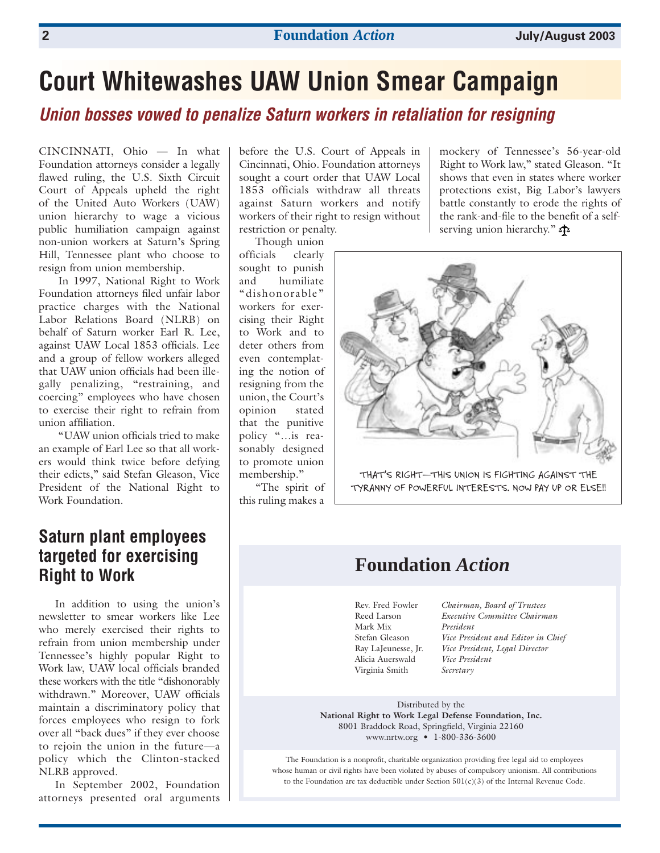## **Court Whitewashes UAW Union Smear Campaign**

*Union bosses vowed to penalize Saturn workers in retaliation for resigning*

CINCINNATI, Ohio — In what Foundation attorneys consider a legally flawed ruling, the U.S. Sixth Circuit Court of Appeals upheld the right of the United Auto Workers (UAW) union hierarchy to wage a vicious public humiliation campaign against non-union workers at Saturn's Spring Hill, Tennessee plant who choose to resign from union membership.

In 1997, National Right to Work Foundation attorneys filed unfair labor practice charges with the National Labor Relations Board (NLRB) on behalf of Saturn worker Earl R. Lee, against UAW Local 1853 officials. Lee and a group of fellow workers alleged that UAW union officials had been illegally penalizing, "restraining, and coercing" employees who have chosen to exercise their right to refrain from union affiliation.

"UAW union officials tried to make an example of Earl Lee so that all workers would think twice before defying their edicts," said Stefan Gleason, Vice President of the National Right to Work Foundation.

### **Saturn plant employees targeted for exercising Right to Work**

In addition to using the union's newsletter to smear workers like Lee who merely exercised their rights to refrain from union membership under Tennessee's highly popular Right to Work law, UAW local officials branded these workers with the title "dishonorably withdrawn." Moreover, UAW officials maintain a discriminatory policy that forces employees who resign to fork over all "back dues" if they ever choose to rejoin the union in the future—a policy which the Clinton-stacked NLRB approved.

In September 2002, Foundation attorneys presented oral arguments

before the U.S. Court of Appeals in Cincinnati, Ohio. Foundation attorneys sought a court order that UAW Local 1853 officials withdraw all threats against Saturn workers and notify workers of their right to resign without restriction or penalty.

Though union

officials clearly sought to punish and humiliate "dishonorable" workers for exercising their Right to Work and to deter others from even contemplating the notion of resigning from the union, the Court's opinion stated that the punitive policy "…is reasonably designed to promote union membership."

"The spirit of this ruling makes a

mockery of Tennessee's 56-year-old Right to Work law," stated Gleason. "It shows that even in states where worker protections exist, Big Labor's lawyers battle constantly to erode the rights of the rank-and-file to the benefit of a selfserving union hierarchy."



## **Foundation** *Action*

Mark Mix *President* Alicia Auerswald *Vice President* Virginia Smith *Secretary*

Rev. Fred Fowler *Chairman, Board of Trustees* Reed Larson *Executive Committee Chairman* Stefan Gleason *Vice President and Editor in Chief* Ray LaJeunesse, Jr. *Vice President, Legal Director* 

Distributed by the **National Right to Work Legal Defense Foundation, Inc.** 8001 Braddock Road, Springfield, Virginia 22160 www.nrtw.org • 1-800-336-3600

The Foundation is a nonprofit, charitable organization providing free legal aid to employees whose human or civil rights have been violated by abuses of compulsory unionism. All contributions to the Foundation are tax deductible under Section  $501(c)(3)$  of the Internal Revenue Code.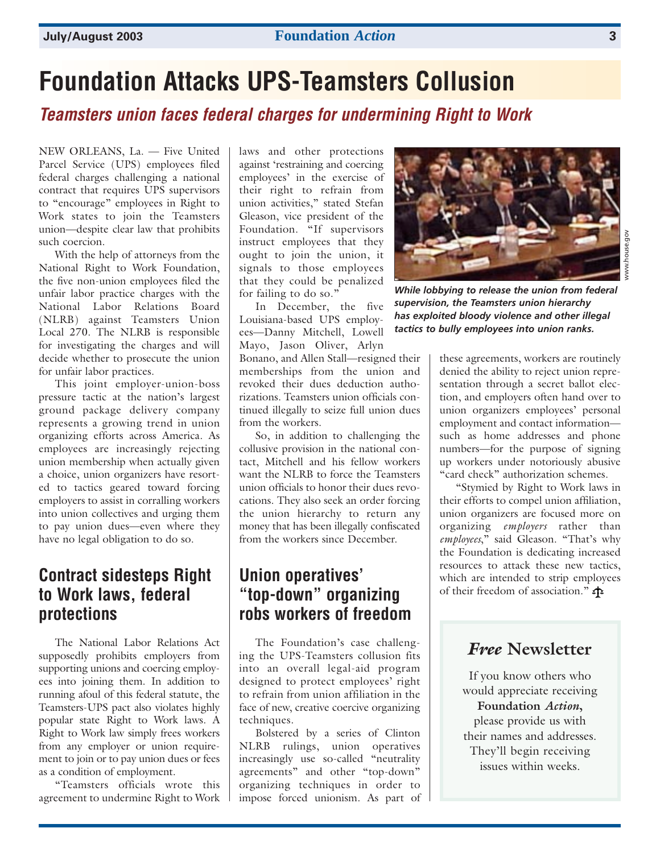## **Foundation Attacks UPS-Teamsters Collusion**

### *Teamsters union faces federal charges for undermining Right to Work*

NEW ORLEANS, La. — Five United Parcel Service (UPS) employees filed federal charges challenging a national contract that requires UPS supervisors to "encourage" employees in Right to Work states to join the Teamsters union—despite clear law that prohibits such coercion.

With the help of attorneys from the National Right to Work Foundation, the five non-union employees filed the unfair labor practice charges with the National Labor Relations Board (NLRB) against Teamsters Union Local 270. The NLRB is responsible for investigating the charges and will decide whether to prosecute the union for unfair labor practices.

This joint employer-union-boss pressure tactic at the nation's largest ground package delivery company represents a growing trend in union organizing efforts across America. As employees are increasingly rejecting union membership when actually given a choice, union organizers have resorted to tactics geared toward forcing employers to assist in corralling workers into union collectives and urging them to pay union dues—even where they have no legal obligation to do so.

### **Contract sidesteps Right to Work laws, federal protections**

The National Labor Relations Act supposedly prohibits employers from supporting unions and coercing employees into joining them. In addition to running afoul of this federal statute, the Teamsters-UPS pact also violates highly popular state Right to Work laws. A Right to Work law simply frees workers from any employer or union requirement to join or to pay union dues or fees as a condition of employment.

"Teamsters officials wrote this agreement to undermine Right to Work

laws and other protections against 'restraining and coercing employees' in the exercise of their right to refrain from union activities," stated Stefan Gleason, vice president of the Foundation. "If supervisors instruct employees that they ought to join the union, it signals to those employees that they could be penalized for failing to do so."

In December, the five Louisiana-based UPS employees—Danny Mitchell, Lowell Mayo, Jason Oliver, Arlyn Bonano, and Allen Stall—resigned their memberships from the union and revoked their dues deduction authorizations. Teamsters union officials continued illegally to seize full union dues from the workers.

So, in addition to challenging the collusive provision in the national contact, Mitchell and his fellow workers want the NLRB to force the Teamsters union officials to honor their dues revocations. They also seek an order forcing the union hierarchy to return any money that has been illegally confiscated from the workers since December.

### **Union operatives' "top-down" organizing robs workers of freedom**

The Foundation's case challenging the UPS-Teamsters collusion fits into an overall legal-aid program designed to protect employees' right to refrain from union affiliation in the face of new, creative coercive organizing techniques.

Bolstered by a series of Clinton NLRB rulings, union operatives increasingly use so-called "neutrality agreements" and other "top-down" organizing techniques in order to impose forced unionism. As part of



*While lobbying to release the union from federal supervision, the Teamsters union hierarchy has exploited bloody violence and other illegal tactics to bully employees into union ranks.*

these agreements, workers are routinely denied the ability to reject union representation through a secret ballot election, and employers often hand over to union organizers employees' personal employment and contact information such as home addresses and phone numbers—for the purpose of signing up workers under notoriously abusive "card check" authorization schemes.

"Stymied by Right to Work laws in their efforts to compel union affiliation, union organizers are focused more on organizing *employers* rather than *employees*," said Gleason. "That's why the Foundation is dedicating increased resources to attack these new tactics, which are intended to strip employees of their freedom of association."

### *Free* **Newsletter**

If you know others who would appreciate receiving **Foundation** *Action***,**  please provide us with their names and addresses. They'll begin receiving issues within weeks.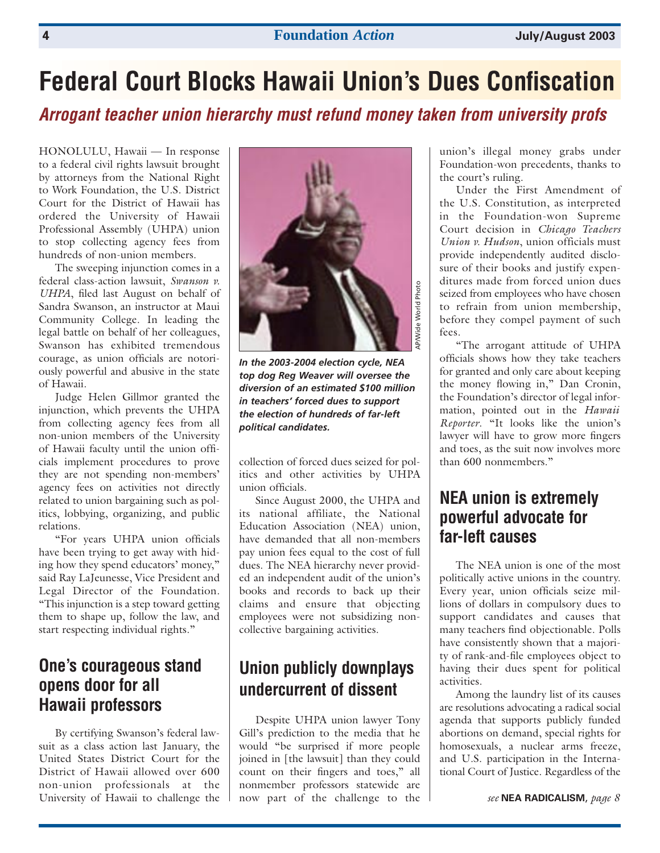## **Federal Court Blocks Hawaii Union's Dues Confiscation**

*Arrogant teacher union hierarchy must refund money taken from university profs*

HONOLULU, Hawaii — In response to a federal civil rights lawsuit brought by attorneys from the National Right to Work Foundation, the U.S. District Court for the District of Hawaii has ordered the University of Hawaii Professional Assembly (UHPA) union to stop collecting agency fees from hundreds of non-union members.

The sweeping injunction comes in a federal class-action lawsuit, *Swanson v. UHPA*, filed last August on behalf of Sandra Swanson, an instructor at Maui Community College. In leading the legal battle on behalf of her colleagues, Swanson has exhibited tremendous courage, as union officials are notoriously powerful and abusive in the state of Hawaii.

Judge Helen Gillmor granted the injunction, which prevents the UHPA from collecting agency fees from all non-union members of the University of Hawaii faculty until the union officials implement procedures to prove they are not spending non-members' agency fees on activities not directly related to union bargaining such as politics, lobbying, organizing, and public relations.

"For years UHPA union officials have been trying to get away with hiding how they spend educators' money," said Ray LaJeunesse, Vice President and Legal Director of the Foundation. "This injunction is a step toward getting them to shape up, follow the law, and start respecting individual rights."

### **One's courageous stand opens door for all Hawaii professors**

By certifying Swanson's federal lawsuit as a class action last January, the United States District Court for the District of Hawaii allowed over 600 non-union professionals at the University of Hawaii to challenge the



*In the 2003-2004 election cycle, NEA top dog Reg Weaver will oversee the diversion of an estimated \$100 million in teachers' forced dues to support the election of hundreds of far-left political candidates.*

collection of forced dues seized for politics and other activities by UHPA union officials.

Since August 2000, the UHPA and its national affiliate, the National Education Association (NEA) union, have demanded that all non-members pay union fees equal to the cost of full dues. The NEA hierarchy never provided an independent audit of the union's books and records to back up their claims and ensure that objecting employees were not subsidizing noncollective bargaining activities.

## **Union publicly downplays undercurrent of dissent**

Despite UHPA union lawyer Tony Gill's prediction to the media that he would "be surprised if more people joined in [the lawsuit] than they could count on their fingers and toes," all nonmember professors statewide are now part of the challenge to the union's illegal money grabs under Foundation-won precedents, thanks to the court's ruling.

Under the First Amendment of the U.S. Constitution, as interpreted in the Foundation-won Supreme Court decision in *Chicago Teachers Union v. Hudson*, union officials must provide independently audited disclosure of their books and justify expenditures made from forced union dues seized from employees who have chosen to refrain from union membership, before they compel payment of such fees.

"The arrogant attitude of UHPA officials shows how they take teachers for granted and only care about keeping the money flowing in," Dan Cronin, the Foundation's director of legal information, pointed out in the *Hawaii Reporter*. "It looks like the union's lawyer will have to grow more fingers and toes, as the suit now involves more than 600 nonmembers."

## **NEA union is extremely powerful advocate for far-left causes**

The NEA union is one of the most politically active unions in the country. Every year, union officials seize millions of dollars in compulsory dues to support candidates and causes that many teachers find objectionable. Polls have consistently shown that a majority of rank-and-file employees object to having their dues spent for political activities.

Among the laundry list of its causes are resolutions advocating a radical social agenda that supports publicly funded abortions on demand, special rights for homosexuals, a nuclear arms freeze, and U.S. participation in the International Court of Justice. Regardless of the

*see* **NEA RADICALISM**, *page 8*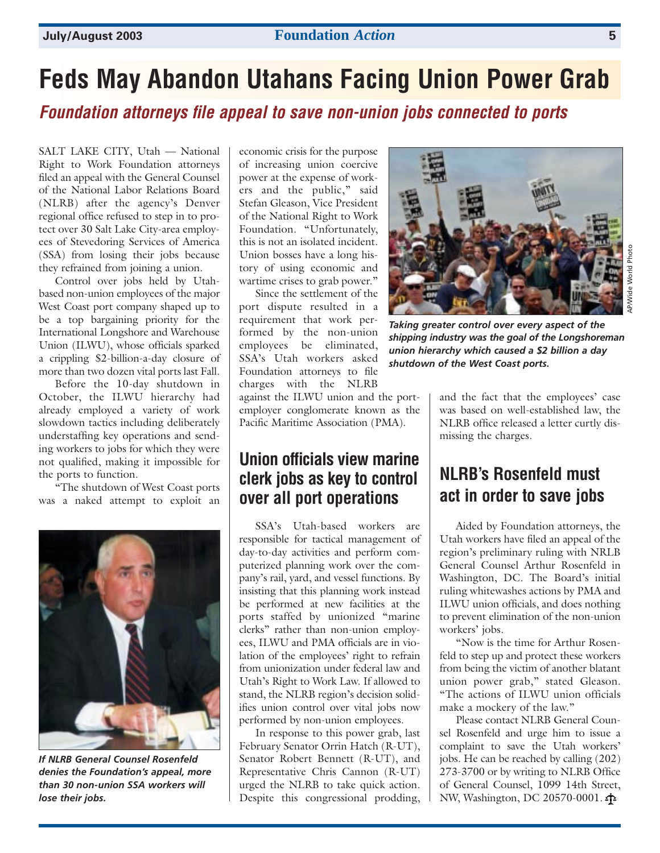#### **July/August 2003 Foundation** *Action* **5**

## **Feds May Abandon Utahans Facing Union Power Grab**

*Foundation attorneys file appeal to save non-union jobs connected to ports*

SALT LAKE CITY, Utah — National Right to Work Foundation attorneys filed an appeal with the General Counsel of the National Labor Relations Board (NLRB) after the agency's Denver regional office refused to step in to protect over 30 Salt Lake City-area employees of Stevedoring Services of America (SSA) from losing their jobs because they refrained from joining a union.

Control over jobs held by Utahbased non-union employees of the major West Coast port company shaped up to be a top bargaining priority for the International Longshore and Warehouse Union (ILWU), whose officials sparked a crippling \$2-billion-a-day closure of more than two dozen vital ports last Fall.

Before the 10-day shutdown in October, the ILWU hierarchy had already employed a variety of work slowdown tactics including deliberately understaffing key operations and sending workers to jobs for which they were not qualified, making it impossible for the ports to function.

"The shutdown of West Coast ports was a naked attempt to exploit an



*If NLRB General Counsel Rosenfeld denies the Foundation's appeal, more than 30 non-union SSA workers will lose their jobs.*

economic crisis for the purpose of increasing union coercive power at the expense of workers and the public," said Stefan Gleason, Vice President of the National Right to Work Foundation. "Unfortunately, this is not an isolated incident. Union bosses have a long history of using economic and wartime crises to grab power."

Since the settlement of the port dispute resulted in a requirement that work performed by the non-union employees be eliminated, SSA's Utah workers asked Foundation attorneys to file charges with the NLRB

against the ILWU union and the portemployer conglomerate known as the Pacific Maritime Association (PMA).

### **Union officials view marine clerk jobs as key to control over all port operations**

SSA's Utah-based workers are responsible for tactical management of day-to-day activities and perform computerized planning work over the company's rail, yard, and vessel functions. By insisting that this planning work instead be performed at new facilities at the ports staffed by unionized "marine clerks" rather than non-union employees, ILWU and PMA officials are in violation of the employees' right to refrain from unionization under federal law and Utah's Right to Work Law. If allowed to stand, the NLRB region's decision solidifies union control over vital jobs now performed by non-union employees.

In response to this power grab, last February Senator Orrin Hatch (R-UT), Senator Robert Bennett (R-UT), and Representative Chris Cannon (R-UT) urged the NLRB to take quick action. Despite this congressional prodding,



*Taking greater control over every aspect of the shipping industry was the goal of the Longshoreman union hierarchy which caused a \$2 billion a day shutdown of the West Coast ports.*

and the fact that the employees' case was based on well-established law, the NLRB office released a letter curtly dismissing the charges.

## **NLRB's Rosenfeld must act in order to save jobs**

Aided by Foundation attorneys, the Utah workers have filed an appeal of the region's preliminary ruling with NRLB General Counsel Arthur Rosenfeld in Washington, DC. The Board's initial ruling whitewashes actions by PMA and ILWU union officials, and does nothing to prevent elimination of the non-union workers' jobs.

"Now is the time for Arthur Rosenfeld to step up and protect these workers from being the victim of another blatant union power grab," stated Gleason. "The actions of ILWU union officials make a mockery of the law."

Please contact NLRB General Counsel Rosenfeld and urge him to issue a complaint to save the Utah workers' jobs. He can be reached by calling (202) 273-3700 or by writing to NLRB Office of General Counsel, 1099 14th Street, NW, Washington, DC 20570-0001.

AP/Wide World Photo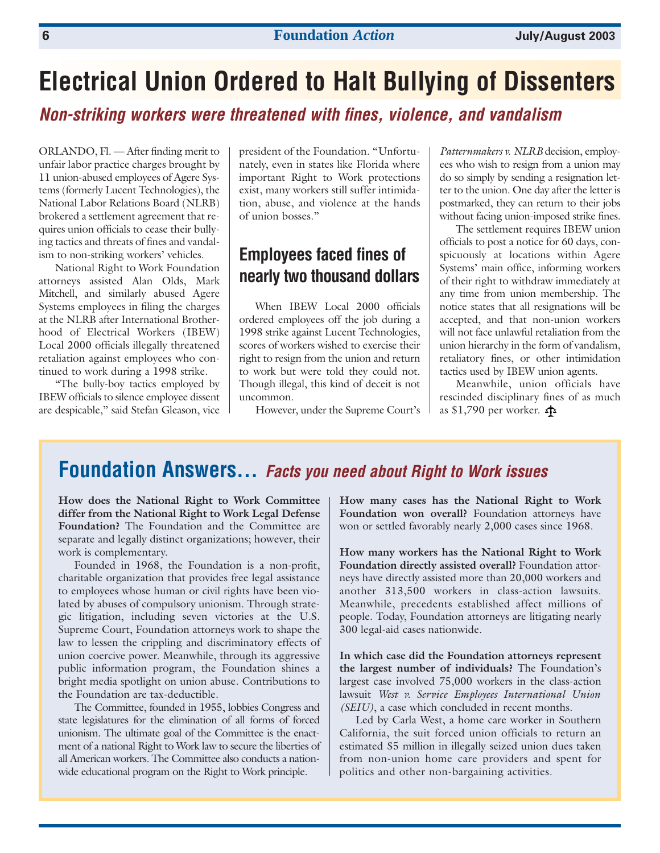## **Electrical Union Ordered to Halt Bullying of Dissenters**

*Non-striking workers were threatened with fines, violence, and vandalism*

ORLANDO, Fl. — After finding merit to unfair labor practice charges brought by 11 union-abused employees of Agere Systems (formerly Lucent Technologies), the National Labor Relations Board (NLRB) brokered a settlement agreement that requires union officials to cease their bullying tactics and threats of fines and vandalism to non-striking workers' vehicles.

National Right to Work Foundation attorneys assisted Alan Olds, Mark Mitchell, and similarly abused Agere Systems employees in filing the charges at the NLRB after International Brotherhood of Electrical Workers (IBEW) Local 2000 officials illegally threatened retaliation against employees who continued to work during a 1998 strike.

"The bully-boy tactics employed by IBEW officials to silence employee dissent are despicable," said Stefan Gleason, vice president of the Foundation. "Unfortunately, even in states like Florida where important Right to Work protections exist, many workers still suffer intimidation, abuse, and violence at the hands of union bosses."

## **Employees faced fines of nearly two thousand dollars**

When IBEW Local 2000 officials ordered employees off the job during a 1998 strike against Lucent Technologies, scores of workers wished to exercise their right to resign from the union and return to work but were told they could not. Though illegal, this kind of deceit is not uncommon.

However, under the Supreme Court's

*Patternmakers v. NLRB* decision, employees who wish to resign from a union may do so simply by sending a resignation letter to the union. One day after the letter is postmarked, they can return to their jobs without facing union-imposed strike fines.

The settlement requires IBEW union officials to post a notice for 60 days, conspicuously at locations within Agere Systems' main office, informing workers of their right to withdraw immediately at any time from union membership. The notice states that all resignations will be accepted, and that non-union workers will not face unlawful retaliation from the union hierarchy in the form of vandalism, retaliatory fines, or other intimidation tactics used by IBEW union agents.

Meanwhile, union officials have rescinded disciplinary fines of as much as \$1,790 per worker.

## **Foundation Answers…** *Facts you need about Right to Work issues*

**How does the National Right to Work Committee differ from the National Right to Work Legal Defense Foundation?** The Foundation and the Committee are separate and legally distinct organizations; however, their work is complementary.

Founded in 1968, the Foundation is a non-profit, charitable organization that provides free legal assistance to employees whose human or civil rights have been violated by abuses of compulsory unionism. Through strategic litigation, including seven victories at the U.S. Supreme Court, Foundation attorneys work to shape the law to lessen the crippling and discriminatory effects of union coercive power. Meanwhile, through its aggressive public information program, the Foundation shines a bright media spotlight on union abuse. Contributions to the Foundation are tax-deductible.

The Committee, founded in 1955, lobbies Congress and state legislatures for the elimination of all forms of forced unionism. The ultimate goal of the Committee is the enactment of a national Right to Work law to secure the liberties of all American workers. The Committee also conducts a nationwide educational program on the Right to Work principle.

**How many cases has the National Right to Work Foundation won overall?** Foundation attorneys have won or settled favorably nearly 2,000 cases since 1968.

**How many workers has the National Right to Work Foundation directly assisted overall?** Foundation attorneys have directly assisted more than 20,000 workers and another 313,500 workers in class-action lawsuits. Meanwhile, precedents established affect millions of people. Today, Foundation attorneys are litigating nearly 300 legal-aid cases nationwide.

**In which case did the Foundation attorneys represent the largest number of individuals?** The Foundation's largest case involved 75,000 workers in the class-action lawsuit *West v. Service Employees International Union (SEIU)*, a case which concluded in recent months.

Led by Carla West, a home care worker in Southern California, the suit forced union officials to return an estimated \$5 million in illegally seized union dues taken from non-union home care providers and spent for politics and other non-bargaining activities.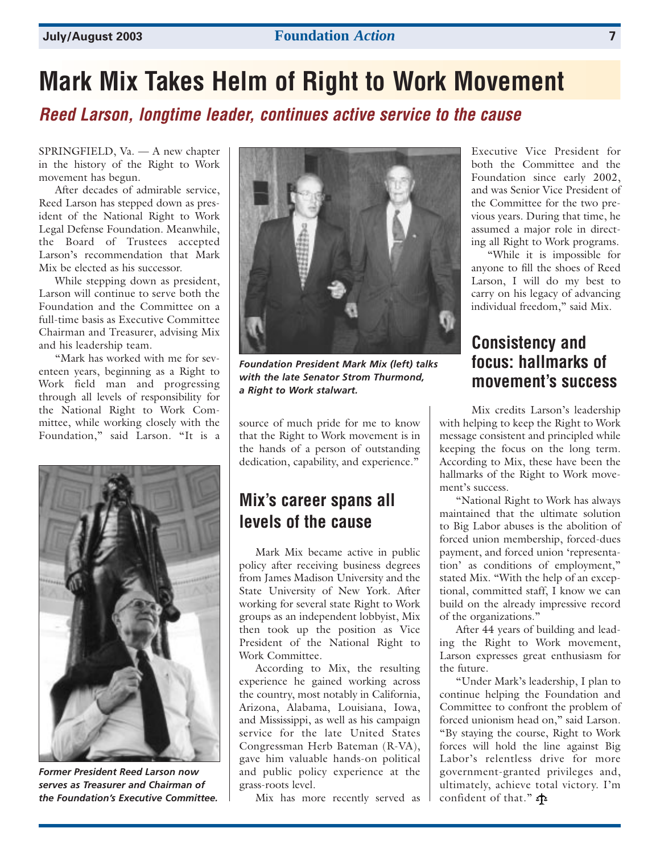# **Mark Mix Takes Helm of Right to Work Movement**

*Reed Larson, longtime leader, continues active service to the cause*

SPRINGFIELD, Va. — A new chapter in the history of the Right to Work movement has begun.

After decades of admirable service, Reed Larson has stepped down as president of the National Right to Work Legal Defense Foundation. Meanwhile, the Board of Trustees accepted Larson's recommendation that Mark Mix be elected as his successor.

While stepping down as president, Larson will continue to serve both the Foundation and the Committee on a full-time basis as Executive Committee Chairman and Treasurer, advising Mix and his leadership team.

"Mark has worked with me for seventeen years, beginning as a Right to Work field man and progressing through all levels of responsibility for the National Right to Work Committee, while working closely with the Foundation," said Larson. "It is a



*Former President Reed Larson now serves as Treasurer and Chairman of the Foundation's Executive Committee.*



*Foundation President Mark Mix (left) talks with the late Senator Strom Thurmond, a Right to Work stalwart.*

source of much pride for me to know that the Right to Work movement is in the hands of a person of outstanding dedication, capability, and experience."

## **Mix's career spans all levels of the cause**

Mark Mix became active in public policy after receiving business degrees from James Madison University and the State University of New York. After working for several state Right to Work groups as an independent lobbyist, Mix then took up the position as Vice President of the National Right to Work Committee.

According to Mix, the resulting experience he gained working across the country, most notably in California, Arizona, Alabama, Louisiana, Iowa, and Mississippi, as well as his campaign service for the late United States Congressman Herb Bateman (R-VA), gave him valuable hands-on political and public policy experience at the grass-roots level.

Mix has more recently served as

Executive Vice President for both the Committee and the Foundation since early 2002, and was Senior Vice President of the Committee for the two previous years. During that time, he assumed a major role in directing all Right to Work programs.

"While it is impossible for anyone to fill the shoes of Reed Larson, I will do my best to carry on his legacy of advancing individual freedom," said Mix.

### **Consistency and focus: hallmarks of movement's success**

Mix credits Larson's leadership with helping to keep the Right to Work message consistent and principled while keeping the focus on the long term. According to Mix, these have been the hallmarks of the Right to Work movement's success.

"National Right to Work has always maintained that the ultimate solution to Big Labor abuses is the abolition of forced union membership, forced-dues payment, and forced union 'representation' as conditions of employment," stated Mix. "With the help of an exceptional, committed staff, I know we can build on the already impressive record of the organizations."

After 44 years of building and leading the Right to Work movement, Larson expresses great enthusiasm for the future.

"Under Mark's leadership, I plan to continue helping the Foundation and Committee to confront the problem of forced unionism head on," said Larson. "By staying the course, Right to Work forces will hold the line against Big Labor's relentless drive for more government-granted privileges and, ultimately, achieve total victory. I'm confident of that."